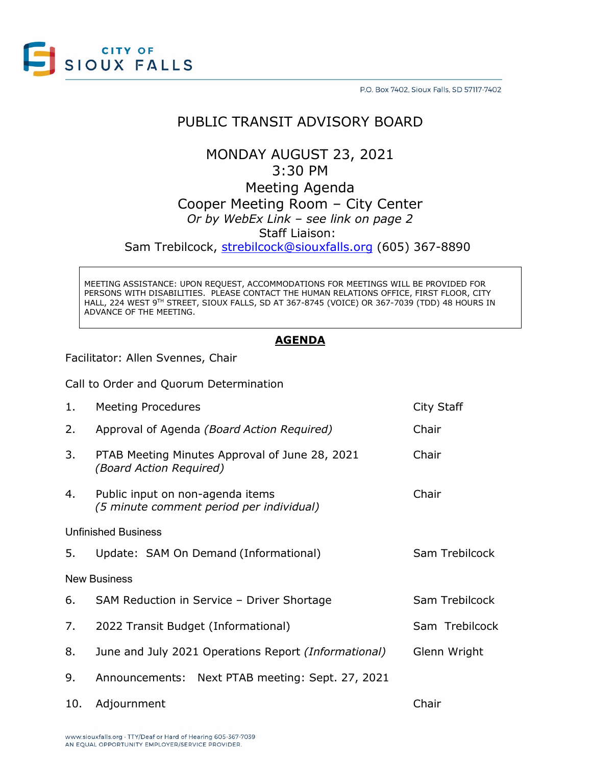

## PUBLIC TRANSIT ADVISORY BOARD

## MONDAY AUGUST 23, 2021 3:30 PM Meeting Agenda

Cooper Meeting Room – City Center *Or by WebEx Link – see link on page 2*

Staff Liaison:

Sam Trebilcock, [strebilcock@siouxfalls.org](mailto:strebilcock@siouxfalls.org) (605) 367-8890

MEETING ASSISTANCE: UPON REQUEST, ACCOMMODATIONS FOR MEETINGS WILL BE PROVIDED FOR PERSONS WITH DISABILITIES. PLEASE CONTACT THE HUMAN RELATIONS OFFICE, FIRST FLOOR, CITY HALL, 224 WEST 9TH STREET, SIOUX FALLS, SD AT 367-8745 (VOICE) OR 367-7039 (TDD) 48 HOURS IN ADVANCE OF THE MEETING.

#### **AGENDA**

Facilitator: Allen Svennes, Chair

Call to Order and Quorum Determination

| 1.                         | <b>Meeting Procedures</b>                                                    | City Staff     |
|----------------------------|------------------------------------------------------------------------------|----------------|
| 2.                         | Approval of Agenda (Board Action Required)                                   | Chair          |
| 3.                         | PTAB Meeting Minutes Approval of June 28, 2021<br>(Board Action Required)    | Chair          |
| 4.                         | Public input on non-agenda items<br>(5 minute comment period per individual) | Chair          |
| <b>Unfinished Business</b> |                                                                              |                |
| 5.                         | Update: SAM On Demand (Informational)                                        | Sam Trebilcock |
| <b>New Business</b>        |                                                                              |                |
| 6.                         | SAM Reduction in Service - Driver Shortage                                   | Sam Trebilcock |
| 7.                         | 2022 Transit Budget (Informational)                                          | Sam Trebilcock |
| 8.                         | June and July 2021 Operations Report (Informational)                         | Glenn Wright   |
| 9.                         | Announcements: Next PTAB meeting: Sept. 27, 2021                             |                |
| 10.                        | Adjournment                                                                  | Chair          |